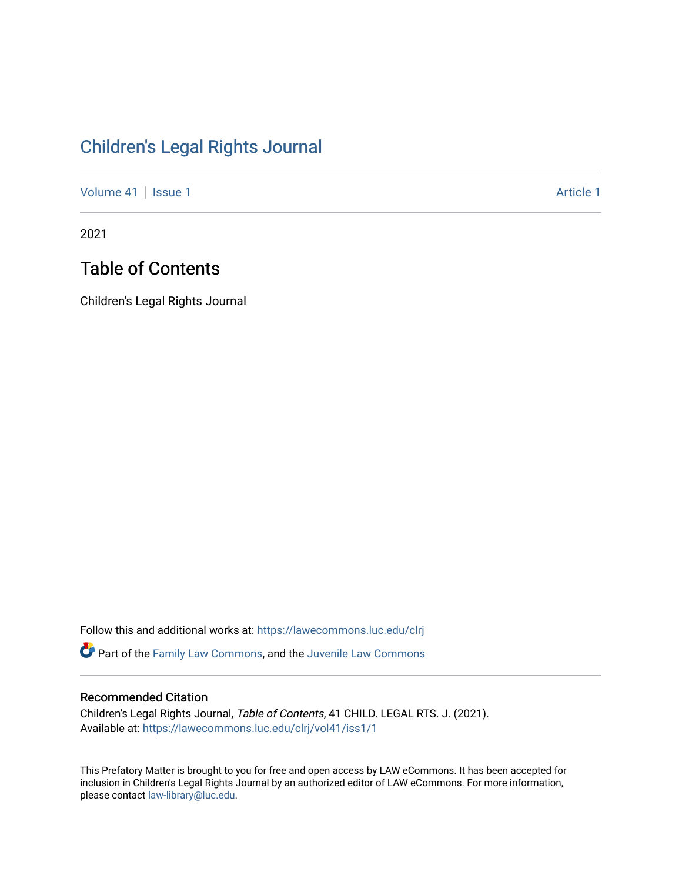# [Children's Legal Rights Journal](https://lawecommons.luc.edu/clrj)

[Volume 41](https://lawecommons.luc.edu/clrj/vol41) | [Issue 1](https://lawecommons.luc.edu/clrj/vol41/iss1) Article 1

2021

## Table of Contents

Children's Legal Rights Journal

Follow this and additional works at: [https://lawecommons.luc.edu/clrj](https://lawecommons.luc.edu/clrj?utm_source=lawecommons.luc.edu%2Fclrj%2Fvol41%2Fiss1%2F1&utm_medium=PDF&utm_campaign=PDFCoverPages)

Part of the [Family Law Commons,](http://network.bepress.com/hgg/discipline/602?utm_source=lawecommons.luc.edu%2Fclrj%2Fvol41%2Fiss1%2F1&utm_medium=PDF&utm_campaign=PDFCoverPages) and the [Juvenile Law Commons](http://network.bepress.com/hgg/discipline/851?utm_source=lawecommons.luc.edu%2Fclrj%2Fvol41%2Fiss1%2F1&utm_medium=PDF&utm_campaign=PDFCoverPages) 

### Recommended Citation

Children's Legal Rights Journal, Table of Contents, 41 CHILD. LEGAL RTS. J. (2021). Available at: [https://lawecommons.luc.edu/clrj/vol41/iss1/1](https://lawecommons.luc.edu/clrj/vol41/iss1/1?utm_source=lawecommons.luc.edu%2Fclrj%2Fvol41%2Fiss1%2F1&utm_medium=PDF&utm_campaign=PDFCoverPages) 

This Prefatory Matter is brought to you for free and open access by LAW eCommons. It has been accepted for inclusion in Children's Legal Rights Journal by an authorized editor of LAW eCommons. For more information, please contact [law-library@luc.edu](mailto:law-library@luc.edu).